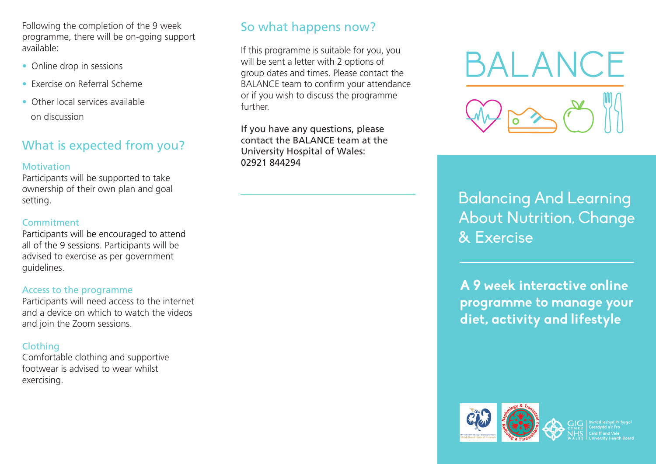Following the completion of the 9 week programme, there will be on-going support available:

- Online drop in sessions
- Exercise on Referral Scheme
- Other local services available on discussion

# What is expected from you?

#### **Motivation**

Participants will be supported to take ownership of their own plan and goal setting.

### **Commitment**

Participants will be encouraged to attend all of the 9 sessions. Participants will be advised to exercise as per government guidelines.

### Access to the programme

Participants will need access to the internet and a device on which to watch the videos and join the Zoom sessions.

### Clothing

Comfortable clothing and supportive footwear is advised to wear whilst exercising.

# So what happens now?

If this programme is suitable for you, you will be sent a letter with 2 options of group dates and times. Please contact the BALANCE team to confirm your attendance or if you wish to discuss the programme further.

If you have any questions, please contact the BALANCE team at the University Hospital of Wales: 02921 844294



Balancing And Learning About Nutrition, Change & Exercise

**A 9 week interactive online programme to manage your diet, activity and lifestyle**